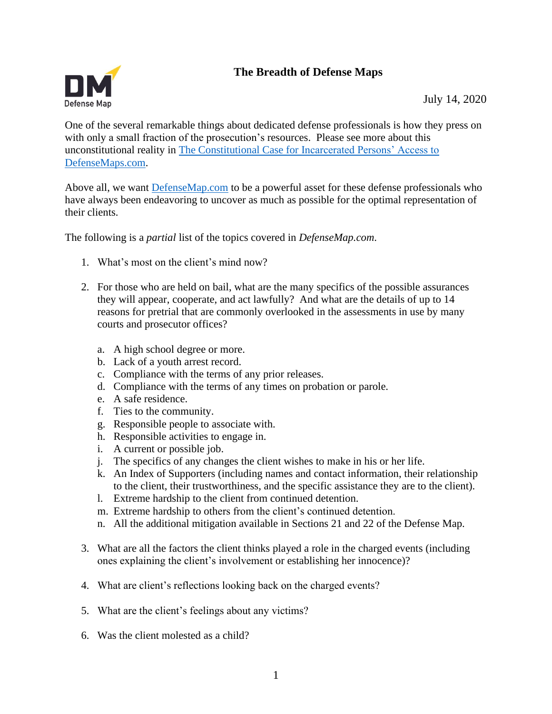## **The Breadth of Defense Maps**



July 14, 2020

One of the several remarkable things about dedicated defense professionals is how they press on with only a small fraction of the prosecution's resources. Please see more about this unconstitutional reality in The Constitutional Case for [Incarcerated Persons' Access to](https://defensemap.com/content/pdf/The_Constitutional_Case_for_Defense_Maps)  [DefenseMaps.com.](https://defensemap.com/content/pdf/The_Constitutional_Case_for_Defense_Maps)

Above all, we want **DefenseMap.com** to be a powerful asset for these defense professionals who have always been endeavoring to uncover as much as possible for the optimal representation of their clients.

The following is a *partial* list of the topics covered in *DefenseMap.com*.

- 1. What's most on the client's mind now?
- 2. For those who are held on bail, what are the many specifics of the possible assurances they will appear, cooperate, and act lawfully? And what are the details of up to 14 reasons for pretrial that are commonly overlooked in the assessments in use by many courts and prosecutor offices?
	- a. A high school degree or more.
	- b. Lack of a youth arrest record.
	- c. Compliance with the terms of any prior releases.
	- d. Compliance with the terms of any times on probation or parole.
	- e. A safe residence.
	- f. Ties to the community.
	- g. Responsible people to associate with.
	- h. Responsible activities to engage in.
	- i. A current or possible job.
	- j. The specifics of any changes the client wishes to make in his or her life.
	- k. An Index of Supporters (including names and contact information, their relationship to the client, their trustworthiness, and the specific assistance they are to the client).
	- l. Extreme hardship to the client from continued detention.
	- m. Extreme hardship to others from the client's continued detention.
	- n. All the additional mitigation available in Sections 21 and 22 of the Defense Map.
- 3. What are all the factors the client thinks played a role in the charged events (including ones explaining the client's involvement or establishing her innocence)?
- 4. What are client's reflections looking back on the charged events?
- 5. What are the client's feelings about any victims?
- 6. Was the client molested as a child?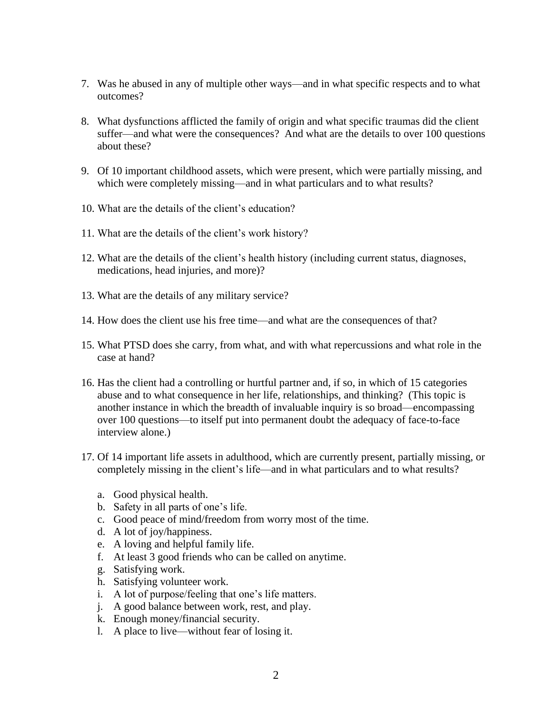- 7. Was he abused in any of multiple other ways—and in what specific respects and to what outcomes?
- 8. What dysfunctions afflicted the family of origin and what specific traumas did the client suffer—and what were the consequences? And what are the details to over 100 questions about these?
- 9. Of 10 important childhood assets, which were present, which were partially missing, and which were completely missing—and in what particulars and to what results?
- 10. What are the details of the client's education?
- 11. What are the details of the client's work history?
- 12. What are the details of the client's health history (including current status, diagnoses, medications, head injuries, and more)?
- 13. What are the details of any military service?
- 14. How does the client use his free time—and what are the consequences of that?
- 15. What PTSD does she carry, from what, and with what repercussions and what role in the case at hand?
- 16. Has the client had a controlling or hurtful partner and, if so, in which of 15 categories abuse and to what consequence in her life, relationships, and thinking? (This topic is another instance in which the breadth of invaluable inquiry is so broad—encompassing over 100 questions—to itself put into permanent doubt the adequacy of face-to-face interview alone.)
- 17. Of 14 important life assets in adulthood, which are currently present, partially missing, or completely missing in the client's life—and in what particulars and to what results?
	- a. Good physical health.
	- b. Safety in all parts of one's life.
	- c. Good peace of mind/freedom from worry most of the time.
	- d. A lot of joy/happiness.
	- e. A loving and helpful family life.
	- f. At least 3 good friends who can be called on anytime.
	- g. Satisfying work.
	- h. Satisfying volunteer work.
	- i. A lot of purpose/feeling that one's life matters.
	- j. A good balance between work, rest, and play.
	- k. Enough money/financial security.
	- l. A place to live—without fear of losing it.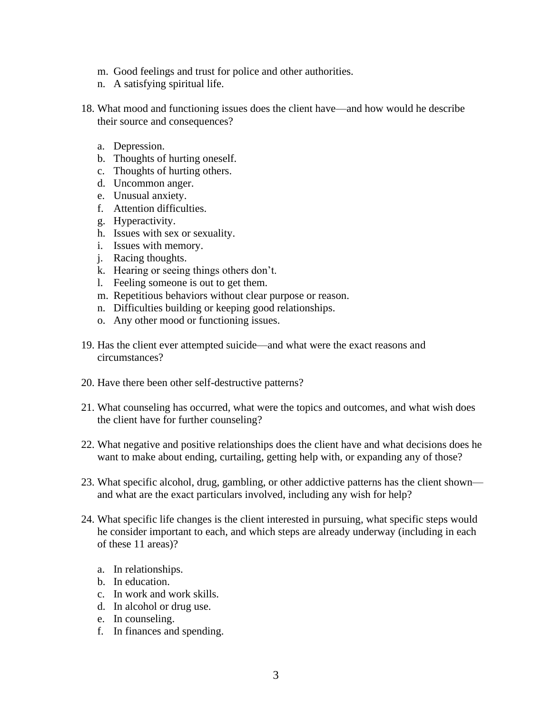- m. Good feelings and trust for police and other authorities.
- n. A satisfying spiritual life.
- 18. What mood and functioning issues does the client have—and how would he describe their source and consequences?
	- a. Depression.
	- b. Thoughts of hurting oneself.
	- c. Thoughts of hurting others.
	- d. Uncommon anger.
	- e. Unusual anxiety.
	- f. Attention difficulties.
	- g. Hyperactivity.
	- h. Issues with sex or sexuality.
	- i. Issues with memory.
	- j. Racing thoughts.
	- k. Hearing or seeing things others don't.
	- l. Feeling someone is out to get them.
	- m. Repetitious behaviors without clear purpose or reason.
	- n. Difficulties building or keeping good relationships.
	- o. Any other mood or functioning issues.
- 19. Has the client ever attempted suicide—and what were the exact reasons and circumstances?
- 20. Have there been other self-destructive patterns?
- 21. What counseling has occurred, what were the topics and outcomes, and what wish does the client have for further counseling?
- 22. What negative and positive relationships does the client have and what decisions does he want to make about ending, curtailing, getting help with, or expanding any of those?
- 23. What specific alcohol, drug, gambling, or other addictive patterns has the client shown and what are the exact particulars involved, including any wish for help?
- 24. What specific life changes is the client interested in pursuing, what specific steps would he consider important to each, and which steps are already underway (including in each of these 11 areas)?
	- a. In relationships.
	- b. In education.
	- c. In work and work skills.
	- d. In alcohol or drug use.
	- e. In counseling.
	- f. In finances and spending.